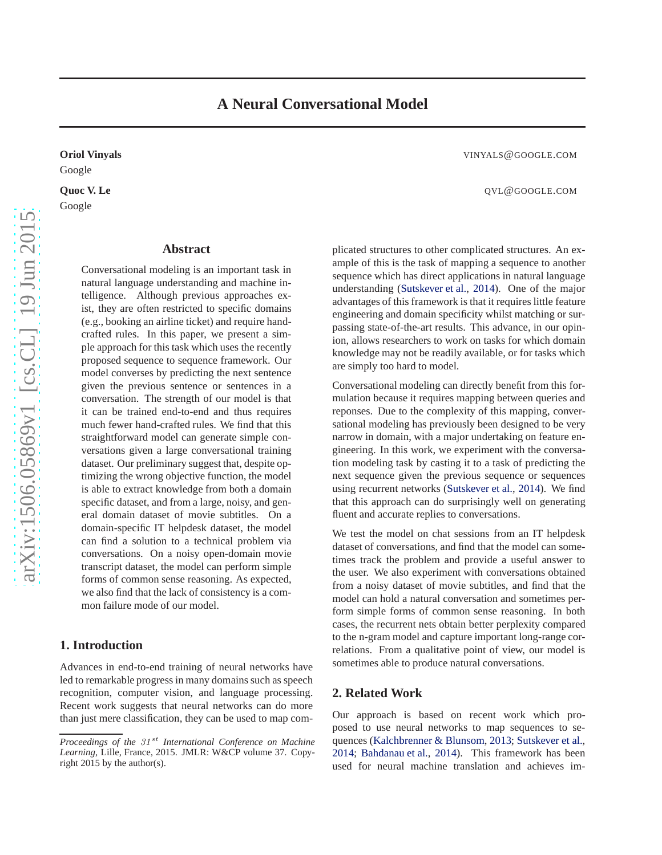# Google

Google

# **Abstract**

Conversational modeling is an important task in natural language understanding and machine intelligence. Although previous approaches exist, they are often restricted to specific domains (e.g., booking an airline ticket) and require handcrafted rules. In this paper, we present a simple approach for this task which uses the recently proposed sequence to sequence framework. Our model converses by predicting the next sentence given the previous sentence or sentences in a conversation. The strength of our model is that it can be trained end-to-end and thus requires much fewer hand-crafted rules. We find that this straightforward model can generate simple conversations given a large conversational training dataset. Our preliminary suggest that, despite optimizing the wrong objective function, the model is able to extract knowledge from both a domain specific dataset, and from a large, noisy, and general domain dataset of movie subtitles. On a domain-specific IT helpdesk dataset, the model can find a solution to a technical problem via conversations. On a noisy open-domain movie transcript dataset, the model can perform simple forms of common sense reasoning. As expected, we also find that the lack of consistency is a common failure mode of our model.

# **1. Introduction**

Advances in end-to-end training of neural networks have led to remarkable progress in many domains such as speech recognition, computer vision, and language processing. Recent work suggests that neural networks can do more than just mere classification, they can be used to map com-

**Oriol Vinyals** VINYALS@GOOGLE.COM

**Quoc V. Le** QVL @GOOGLE.COM

plicated structures to other complicated structures. An example of this is the task of mapping a sequence to another sequence which has direct applications in natural language understanding [\(Sutskever et al.,](#page-6-0) [2014\)](#page-6-0). One of the major advantages of this framework is that it requires little feature engineering and domain specificity whilst matching or surpassing state-of-the-art results. This advance, in our opinion, allows researchers to work on tasks for which domain knowledge may not be readily available, or for tasks which are simply too hard to model.

Conversational modeling can directly benefit from this formulation because it requires mapping between queries and reponses. Due to the complexity of this mapping, conversational modeling has previously been designed to be very narrow in domain, with a major undertaking on feature engineering. In this work, we experiment with the conversation modeling task by casting it to a task of predicting the next sequence given the previous sequence or sequences using recurrent networks [\(Sutskever et al.](#page-6-0), [2014\)](#page-6-0). We find that this approach can do surprisingly well on generating fluent and accurate replies to conversations.

We test the model on chat sessions from an IT helpdesk dataset of conversations, and find that the model can sometimes track the problem and provide a useful answer to the user. We also experiment with conversations obtained from a noisy dataset of movie subtitles, and find that the model can hold a natural conversation and sometimes perform simple forms of common sense reasoning. In both cases, the recurrent nets obtain better perplexity compared to the n-gram model and capture important long-range correlations. From a qualitative point of view, our model is sometimes able to produce natural conversations.

# **2. Related Work**

Our approach is based on recent work which proposed to use neural networks to map sequences to sequences [\(Kalchbrenner & Blunsom](#page-6-0), [2013](#page-6-0); [Sutskever et al.,](#page-6-0) [2014;](#page-6-0) [Bahdanau et al.,](#page-6-0) [2014\)](#page-6-0). This framework has been used for neural machine translation and achieves im-

*Proceedings of the 31<sup>st</sup> International Conference on Machine Learning*, Lille, France, 2015. JMLR: W&CP volume 37. Copyright 2015 by the author(s).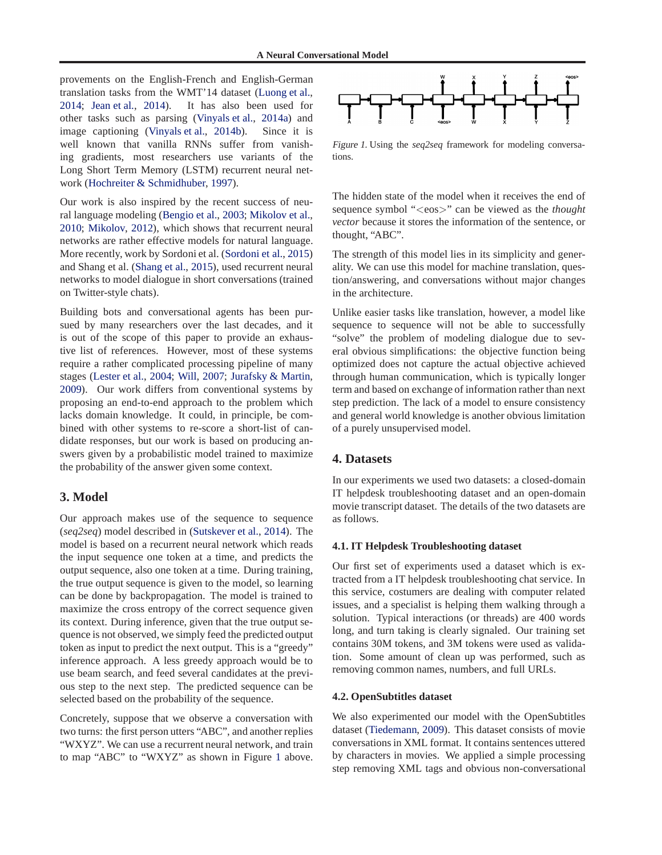provements on the English-French and English-German translation tasks from the WMT'14 dataset [\(Luong et al.,](#page-6-0) [2014;](#page-6-0) [Jean et al.](#page-6-0), [2014\)](#page-6-0). It has also been used for other tasks such as parsing [\(Vinyals et al.](#page-6-0), [2014a\)](#page-6-0) and image captioning [\(Vinyals et al.,](#page-6-0) [2014b](#page-6-0)). Since it is well known that vanilla RNNs suffer from vanishing gradients, most researchers use variants of the Long Short Term Memory (LSTM) recurrent neural network [\(Hochreiter & Schmidhuber](#page-6-0), [1997](#page-6-0)).

Our work is also inspired by the recent success of neural language modeling [\(Bengio et al.,](#page-6-0) [2003;](#page-6-0) [Mikolov et al.,](#page-6-0) [2010;](#page-6-0) [Mikolov,](#page-6-0) [2012\)](#page-6-0), which shows that recurrent neural networks are rather effective models for natural language. More recently, work by Sordoni et al. [\(Sordoni et al.,](#page-6-0) [2015](#page-6-0)) and Shang et al. [\(Shang et al.,](#page-6-0) [2015\)](#page-6-0), used recurrent neural networks to model dialogue in short conversations (trained on Twitter-style chats).

Building bots and conversational agents has been pursued by many researchers over the last decades, and it is out of the scope of this paper to provide an exhaustive list of references. However, most of these systems require a rather complicated processing pipeline of many stages [\(Lester et al.](#page-6-0), [2004;](#page-6-0) [Will,](#page-6-0) [2007;](#page-6-0) [Jurafsky & Martin,](#page-6-0) [2009\)](#page-6-0). Our work differs from conventional systems by proposing an end-to-end approach to the problem which lacks domain knowledge. It could, in principle, be combined with other systems to re-score a short-list of candidate responses, but our work is based on producing answers given by a probabilistic model trained to maximize the probability of the answer given some context.

# **3. Model**

Our approach makes use of the sequence to sequence (*seq2seq*) model described in [\(Sutskever et al.](#page-6-0), [2014\)](#page-6-0). The model is based on a recurrent neural network which reads the input sequence one token at a time, and predicts the output sequence, also one token at a time. During training, the true output sequence is given to the model, so learning can be done by backpropagation. The model is trained to maximize the cross entropy of the correct sequence given its context. During inference, given that the true output sequence is not observed, we simply feed the predicted output token as input to predict the next output. This is a "greedy" inference approach. A less greedy approach would be to use beam search, and feed several candidates at the previous step to the next step. The predicted sequence can be selected based on the probability of the sequence.

Concretely, suppose that we observe a conversation with two turns: the first person utters "ABC", and another replies "WXYZ". We can use a recurrent neural network, and train to map "ABC" to "WXYZ" as shown in Figure 1 above.



Figure 1. Using the *seq2seq* framework for modeling conversations.

The hidden state of the model when it receives the end of sequence symbol "<eos>" can be viewed as the *thought vector* because it stores the information of the sentence, or thought, "ABC".

The strength of this model lies in its simplicity and generality. We can use this model for machine translation, question/answering, and conversations without major changes in the architecture.

Unlike easier tasks like translation, however, a model like sequence to sequence will not be able to successfully "solve" the problem of modeling dialogue due to several obvious simplifications: the objective function being optimized does not capture the actual objective achieved through human communication, which is typically longer term and based on exchange of information rather than next step prediction. The lack of a model to ensure consistency and general world knowledge is another obvious limitation of a purely unsupervised model.

# **4. Datasets**

In our experiments we used two datasets: a closed-domain IT helpdesk troubleshooting dataset and an open-domain movie transcript dataset. The details of the two datasets are as follows.

## **4.1. IT Helpdesk Troubleshooting dataset**

Our first set of experiments used a dataset which is extracted from a IT helpdesk troubleshooting chat service. In this service, costumers are dealing with computer related issues, and a specialist is helping them walking through a solution. Typical interactions (or threads) are 400 words long, and turn taking is clearly signaled. Our training set contains 30M tokens, and 3M tokens were used as validation. Some amount of clean up was performed, such as removing common names, numbers, and full URLs.

#### **4.2. OpenSubtitles dataset**

We also experimented our model with the OpenSubtitles dataset [\(Tiedemann,](#page-6-0) [2009\)](#page-6-0). This dataset consists of movie conversations in XML format. It contains sentences uttered by characters in movies. We applied a simple processing step removing XML tags and obvious non-conversational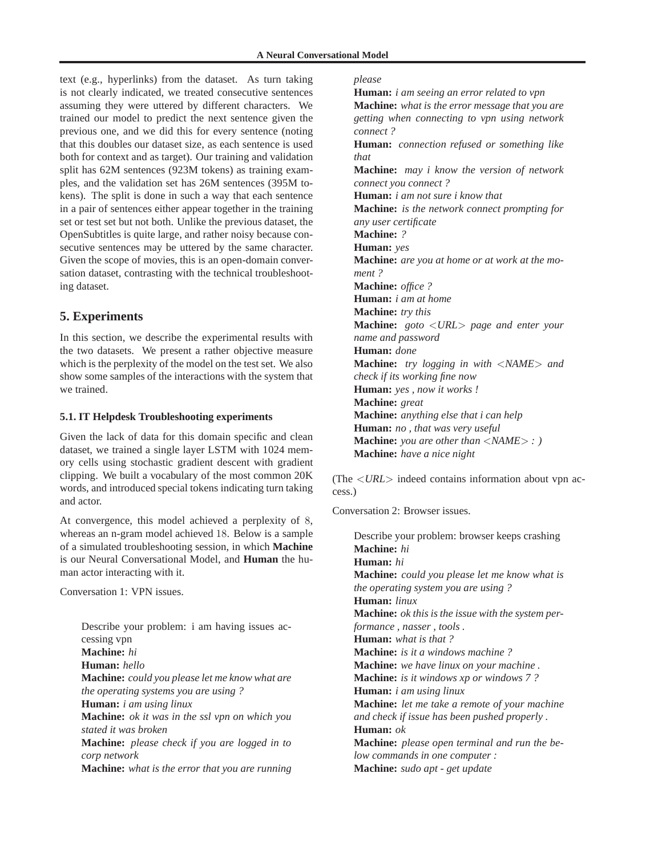text (e.g., hyperlinks) from the dataset. As turn taking is not clearly indicated, we treated consecutive sentences assuming they were uttered by different characters. We trained our model to predict the next sentence given the previous one, and we did this for every sentence (noting that this doubles our dataset size, as each sentence is used both for context and as target). Our training and validation split has 62M sentences (923M tokens) as training examples, and the validation set has 26M sentences (395M tokens). The split is done in such a way that each sentence in a pair of sentences either appear together in the training set or test set but not both. Unlike the previous dataset, the OpenSubtitles is quite large, and rather noisy because consecutive sentences may be uttered by the same character. Given the scope of movies, this is an open-domain conversation dataset, contrasting with the technical troubleshooting dataset.

# **5. Experiments**

In this section, we describe the experimental results with the two datasets. We present a rather objective measure which is the perplexity of the model on the test set. We also show some samples of the interactions with the system that we trained.

# **5.1. IT Helpdesk Troubleshooting experiments**

Given the lack of data for this domain specific and clean dataset, we trained a single layer LSTM with 1024 memory cells using stochastic gradient descent with gradient clipping. We built a vocabulary of the most common 20K words, and introduced special tokens indicating turn taking and actor.

At convergence, this model achieved a perplexity of 8, whereas an n-gram model achieved 18. Below is a sample of a simulated troubleshooting session, in which **Machine** is our Neural Conversational Model, and **Human** the human actor interacting with it.

Conversation 1: VPN issues.

Describe your problem: i am having issues accessing vpn **Machine:** *hi* **Human:** *hello* **Machine:** *could you please let me know what are the operating systems you are using ?* **Human:** *i am using linux* **Machine:** *ok it was in the ssl vpn on which you stated it was broken* **Machine:** *please check if you are logged in to corp network* **Machine:** *what is the error that you are running*

# *please*

**Human:** *i am seeing an error related to vpn* **Machine:** *what is the error message that you are getting when connecting to vpn using network connect ?* **Human:** *connection refused or something like that* **Machine:** *may i know the version of network connect you connect ?* **Human:** *i am not sure i know that* **Machine:** *is the network connect prompting for any user certificate* **Machine:** *?* **Human:** *yes* **Machine:** *are you at home or at work at the moment ?* **Machine:** *office ?* **Human:** *i am at home* **Machine:** *try this* **Machine:** *goto* <*URL*> *page and enter your name and password* **Human:** *done* **Machine:** *try logging in with* <*NAME*> *and check if its working fine now* **Human:** *yes , now it works !* **Machine:** *great* **Machine:** *anything else that i can help* **Human:** *no , that was very useful* **Machine:** *you are other than* <*NAME*> *: )* **Machine:** *have a nice night*

(The <*URL*> indeed contains information about vpn access.)

Conversation 2: Browser issues.

Describe your problem: browser keeps crashing **Machine:** *hi* **Human:** *hi* **Machine:** *could you please let me know what is the operating system you are using ?* **Human:** *linux* **Machine:** *ok this is the issue with the system performance , nasser , tools .* **Human:** *what is that ?* **Machine:** *is it a windows machine ?* **Machine:** *we have linux on your machine .* **Machine:** *is it windows xp or windows 7 ?* **Human:** *i am using linux* **Machine:** *let me take a remote of your machine and check if issue has been pushed properly .* **Human:** *ok* **Machine:** *please open terminal and run the below commands in one computer :* **Machine:** *sudo apt - get update*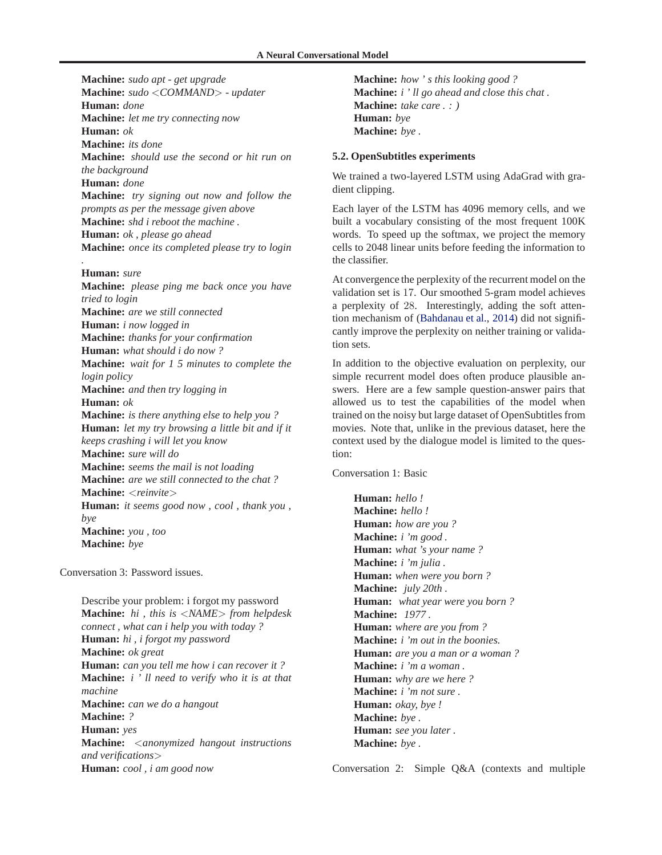**Machine:** *sudo apt - get upgrade* **Machine:** *sudo* <*COMMAND*> *- updater* **Human:** *done* **Machine:** *let me try connecting now* **Human:** *ok* **Machine:** *its done* **Machine:** *should use the second or hit run on the background* **Human:** *done* **Machine:** *try signing out now and follow the prompts as per the message given above* **Machine:** *shd i reboot the machine .* **Human:** *ok , please go ahead* **Machine:** *once its completed please try to login*

**Human:** *sure*

*.*

**Machine:** *please ping me back once you have tried to login* **Machine:** *are we still connected* **Human:** *i now logged in* **Machine:** *thanks for your confirmation* **Human:** *what should i do now ?* **Machine:** *wait for 1 5 minutes to complete the login policy* **Machine:** *and then try logging in* **Human:** *ok* **Machine:** *is there anything else to help you ?* **Human:** *let my try browsing a little bit and if it keeps crashing i will let you know* **Machine:** *sure will do* **Machine:** *seems the mail is not loading* **Machine:** *are we still connected to the chat ?* **Machine:** <*reinvite*> **Human:** *it seems good now , cool , thank you , bye* **Machine:** *you , too* **Machine:** *bye*

Conversation 3: Password issues.

Describe your problem: i forgot my password **Machine:** *hi , this is* <*NAME*> *from helpdesk connect , what can i help you with today ?* **Human:** *hi , i forgot my password* **Machine:** *ok great* **Human:** *can you tell me how i can recover it ?* **Machine:** *i ' ll need to verify who it is at that machine* **Machine:** *can we do a hangout* **Machine:** *?* **Human:** *yes* **Machine:** <*anonymized hangout instructions and verifications*> **Human:** *cool , i am good now*

**Machine:** *how ' s this looking good ?* **Machine:** *i ' ll go ahead and close this chat .* **Machine:** *take care . : )* **Human:** *bye* **Machine:** *bye .*

## **5.2. OpenSubtitles experiments**

We trained a two-layered LSTM using AdaGrad with gradient clipping.

Each layer of the LSTM has 4096 memory cells, and we built a vocabulary consisting of the most frequent 100K words. To speed up the softmax, we project the memory cells to 2048 linear units before feeding the information to the classifier.

At convergence the perplexity of the recurrent model on the validation set is 17. Our smoothed 5-gram model achieves a perplexity of 28. Interestingly, adding the soft attention mechanism of [\(Bahdanau et al.](#page-6-0), [2014\)](#page-6-0) did not significantly improve the perplexity on neither training or validation sets.

In addition to the objective evaluation on perplexity, our simple recurrent model does often produce plausible answers. Here are a few sample question-answer pairs that allowed us to test the capabilities of the model when trained on the noisy but large dataset of OpenSubtitles from movies. Note that, unlike in the previous dataset, here the context used by the dialogue model is limited to the question:

Conversation 1: Basic

**Human:** *hello !* **Machine:** *hello !* **Human:** *how are you ?* **Machine:** *i 'm good .* **Human:** *what 's your name ?* **Machine:** *i 'm julia .* **Human:** *when were you born ?* **Machine:** *july 20th .* **Human:** *what year were you born ?* **Machine:** *1977 .* **Human:** *where are you from ?* **Machine:** *i 'm out in the boonies.* **Human:** *are you a man or a woman ?* **Machine:** *i 'm a woman .* **Human:** *why are we here ?* **Machine:** *i 'm not sure .* **Human:** *okay, bye !* **Machine:** *bye .* **Human:** *see you later .* **Machine:** *bye .*

Conversation 2: Simple Q&A (contexts and multiple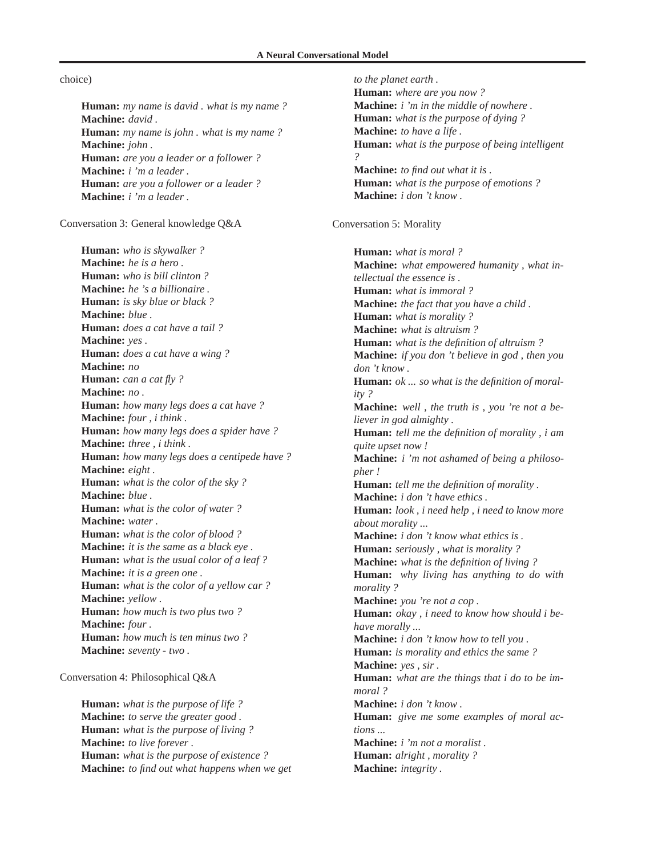## **A Neural Conversational Model**

# choice)

**Human:** *my name is david . what is my name ?* **Machine:** *david .* **Human:** *my name is john . what is my name ?* **Machine:** *john .* **Human:** *are you a leader or a follower ?* **Machine:** *i 'm a leader .* **Human:** *are you a follower or a leader ?* **Machine:** *i 'm a leader .*

Conversation 3: General knowledge Q&A

**Human:** *who is skywalker ?* **Machine:** *he is a hero .* **Human:** *who is bill clinton ?* **Machine:** *he 's a billionaire .* **Human:** *is sky blue or black ?* **Machine:** *blue .* **Human:** *does a cat have a tail ?* **Machine:** *yes .* **Human:** *does a cat have a wing ?* **Machine:** *no* **Human:** *can a cat fly ?* **Machine:** *no .* **Human:** *how many legs does a cat have ?* **Machine:** *four , i think .* **Human:** *how many legs does a spider have ?* **Machine:** *three , i think .* **Human:** *how many legs does a centipede have ?* **Machine:** *eight .* **Human:** *what is the color of the sky ?* **Machine:** *blue .* **Human:** *what is the color of water ?* **Machine:** *water .* **Human:** *what is the color of blood ?* **Machine:** *it is the same as a black eye .* **Human:** *what is the usual color of a leaf ?* **Machine:** *it is a green one .* **Human:** *what is the color of a yellow car ?* **Machine:** *yellow .* **Human:** *how much is two plus two ?* **Machine:** *four .* **Human:** *how much is ten minus two ?* **Machine:** *seventy - two .*

Conversation 4: Philosophical Q&A

**Human:** *what is the purpose of life ?* **Machine:** *to serve the greater good .* **Human:** *what is the purpose of living ?* **Machine:** *to live forever .* **Human:** *what is the purpose of existence ?* **Machine:** *to find out what happens when we get*

*to the planet earth .* **Human:** *where are you now ?* **Machine:** *i 'm in the middle of nowhere .* **Human:** *what is the purpose of dying ?* **Machine:** *to have a life .* **Human:** *what is the purpose of being intelligent ?* **Machine:** *to find out what it is .* **Human:** *what is the purpose of emotions ?* **Machine:** *i don 't know .* Conversation 5: Morality **Human:** *what is moral ?* **Machine:** *what empowered humanity , what intellectual the essence is .* **Human:** *what is immoral ?* **Machine:** *the fact that you have a child .* **Human:** *what is morality ?* **Machine:** *what is altruism ?* **Human:** *what is the definition of altruism ?* **Machine:** *if you don 't believe in god , then you don 't know .* **Human:** *ok ... so what is the definition of morality ?* **Machine:** *well , the truth is , you 're not a believer in god almighty .* **Human:** *tell me the definition of morality , i am quite upset now !* **Machine:** *i 'm not ashamed of being a philosopher !* **Human:** *tell me the definition of morality .* **Machine:** *i don 't have ethics .* **Human:** *look , i need help , i need to know more about morality ...* **Machine:** *i don 't know what ethics is .* **Human:** *seriously , what is morality ?* **Machine:** *what is the definition of living ?* **Human:** *why living has anything to do with morality ?* **Machine:** *you 're not a cop .* **Human:** *okay , i need to know how should i behave morally ...* **Machine:** *i don 't know how to tell you .* **Human:** *is morality and ethics the same ?* **Machine:** *yes , sir .* **Human:** *what are the things that i do to be immoral ?* **Machine:** *i don 't know .* **Human:** *give me some examples of moral actions ...* **Machine:** *i 'm not a moralist .* **Human:** *alright , morality ?* **Machine:** *integrity .*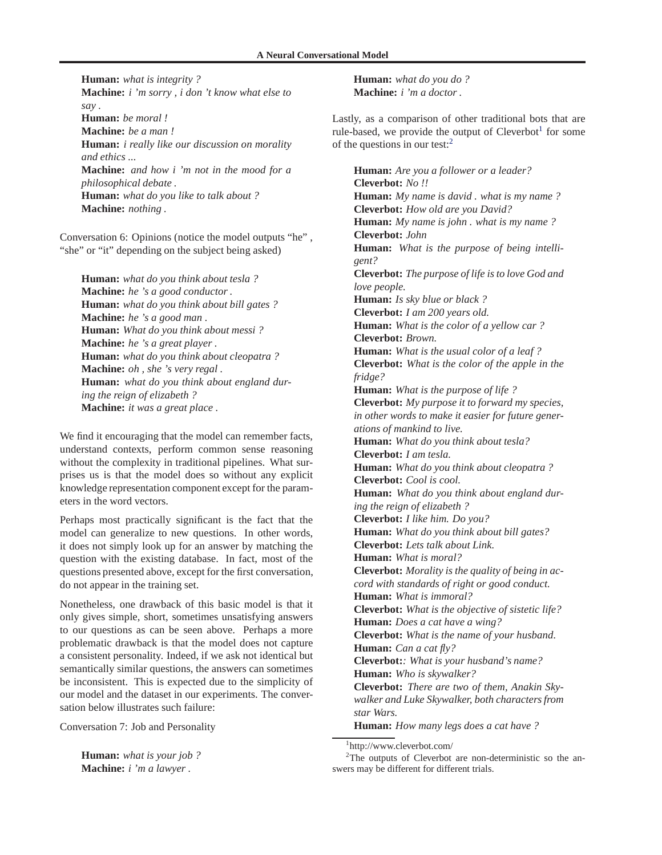**Human:** *what is integrity ?* **Machine:** *i 'm sorry , i don 't know what else to say .* **Human:** *be moral !* **Machine:** *be a man !* **Human:** *i really like our discussion on morality and ethics ...* **Machine:** *and how i 'm not in the mood for a philosophical debate .* **Human:** *what do you like to talk about ?* **Machine:** *nothing .*

Conversation 6: Opinions (notice the model outputs "he" , "she" or "it" depending on the subject being asked)

**Human:** *what do you think about tesla ?* **Machine:** *he 's a good conductor .* **Human:** *what do you think about bill gates ?* **Machine:** *he 's a good man .* **Human:** *What do you think about messi ?* **Machine:** *he 's a great player .* **Human:** *what do you think about cleopatra ?* **Machine:** *oh , she 's very regal .* **Human:** *what do you think about england during the reign of elizabeth ?* **Machine:** *it was a great place .*

We find it encouraging that the model can remember facts, understand contexts, perform common sense reasoning without the complexity in traditional pipelines. What surprises us is that the model does so without any explicit knowledge representation component except for the parameters in the word vectors.

Perhaps most practically significant is the fact that the model can generalize to new questions. In other words, it does not simply look up for an answer by matching the question with the existing database. In fact, most of the questions presented above, except for the first conversation, do not appear in the training set.

Nonetheless, one drawback of this basic model is that it only gives simple, short, sometimes unsatisfying answers to our questions as can be seen above. Perhaps a more problematic drawback is that the model does not capture a consistent personality. Indeed, if we ask not identical but semantically similar questions, the answers can sometimes be inconsistent. This is expected due to the simplicity of our model and the dataset in our experiments. The conversation below illustrates such failure:

Conversation 7: Job and Personality

**Human:** *what is your job ?* **Machine:** *i 'm a lawyer .*

**Human:** *what do you do ?* **Machine:** *i 'm a doctor .*

Lastly, as a comparison of other traditional bots that are rule-based, we provide the output of  $C$ leverbot<sup>1</sup> for some of the questions in our test:<sup>2</sup>

**Human:** *Are you a follower or a leader?* **Cleverbot:** *No !!* **Human:** *My name is david . what is my name ?* **Cleverbot:** *How old are you David?* **Human:** *My name is john . what is my name ?* **Cleverbot:** *John* **Human:** *What is the purpose of being intelligent?* **Cleverbot:** *The purpose of life is to love God and love people.* **Human:** *Is sky blue or black ?* **Cleverbot:** *I am 200 years old.* **Human:** *What is the color of a yellow car ?* **Cleverbot:** *Brown.* **Human:** *What is the usual color of a leaf ?* **Cleverbot:** *What is the color of the apple in the fridge?* **Human:** *What is the purpose of life ?* **Cleverbot:** *My purpose it to forward my species, in other words to make it easier for future generations of mankind to live.* **Human:** *What do you think about tesla?* **Cleverbot:** *I am tesla.* **Human:** *What do you think about cleopatra ?* **Cleverbot:** *Cool is cool.* **Human:** *What do you think about england during the reign of elizabeth ?* **Cleverbot:** *I like him. Do you?* **Human:** *What do you think about bill gates?* **Cleverbot:** *Lets talk about Link.* **Human:** *What is moral?* **Cleverbot:** *Morality is the quality of being in accord with standards of right or good conduct.* **Human:** *What is immoral?* **Cleverbot:** *What is the objective of sistetic life?* **Human:** *Does a cat have a wing?* **Cleverbot:** *What is the name of your husband.* **Human:** *Can a cat fly?* **Cleverbot:***: What is your husband's name?* **Human:** *Who is skywalker?* **Cleverbot:** *There are two of them, Anakin Skywalker and Luke Skywalker, both characters from star Wars.* **Human:** *How many legs does a cat have ?*

1 http://www.cleverbot.com/

 $2$ The outputs of Cleverbot are non-deterministic so the answers may be different for different trials.